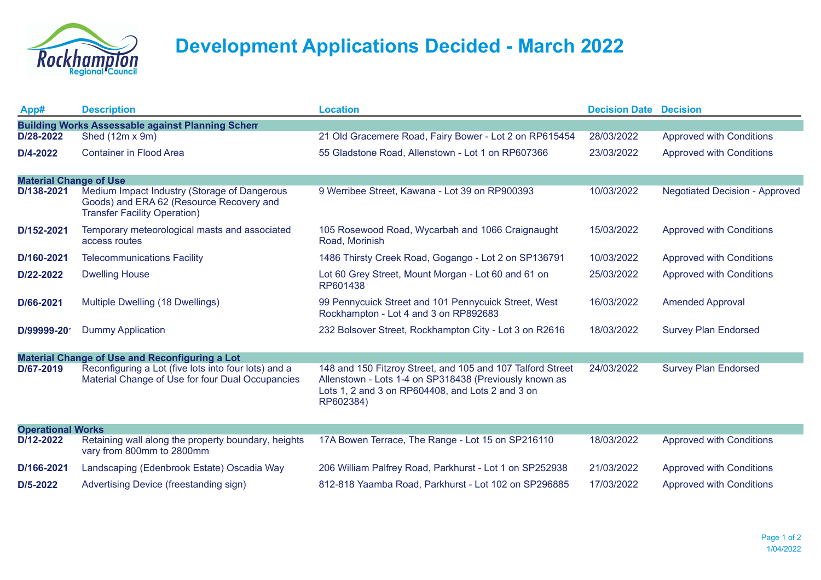

## **Development Applications Decided - March 2022**

| App#                                                    | <b>Description</b>                                                                                                              | <b>Location</b>                                                                                                                                                                       | <b>Decision Date Decision</b> |                                       |  |  |  |
|---------------------------------------------------------|---------------------------------------------------------------------------------------------------------------------------------|---------------------------------------------------------------------------------------------------------------------------------------------------------------------------------------|-------------------------------|---------------------------------------|--|--|--|
| <b>Building Works Assessable against Planning Schem</b> |                                                                                                                                 |                                                                                                                                                                                       |                               |                                       |  |  |  |
| D/28-2022                                               | Shed (12m x 9m)                                                                                                                 | 21 Old Gracemere Road, Fairy Bower - Lot 2 on RP615454                                                                                                                                | 28/03/2022                    | <b>Approved with Conditions</b>       |  |  |  |
| D/4-2022                                                | <b>Container in Flood Area</b>                                                                                                  | 55 Gladstone Road, Allenstown - Lot 1 on RP607366                                                                                                                                     | 23/03/2022                    | <b>Approved with Conditions</b>       |  |  |  |
|                                                         |                                                                                                                                 |                                                                                                                                                                                       |                               |                                       |  |  |  |
| <b>Material Change of Use</b>                           |                                                                                                                                 |                                                                                                                                                                                       |                               |                                       |  |  |  |
| D/138-2021                                              | Medium Impact Industry (Storage of Dangerous<br>Goods) and ERA 62 (Resource Recovery and<br><b>Transfer Facility Operation)</b> | 9 Werribee Street, Kawana - Lot 39 on RP900393                                                                                                                                        | 10/03/2022                    | <b>Negotiated Decision - Approved</b> |  |  |  |
| D/152-2021                                              | Temporary meteorological masts and associated<br>access routes                                                                  | 105 Rosewood Road, Wycarbah and 1066 Craignaught<br>Road, Morinish                                                                                                                    | 15/03/2022                    | <b>Approved with Conditions</b>       |  |  |  |
| D/160-2021                                              | <b>Telecommunications Facility</b>                                                                                              | 1486 Thirsty Creek Road, Gogango - Lot 2 on SP136791                                                                                                                                  | 10/03/2022                    | <b>Approved with Conditions</b>       |  |  |  |
| D/22-2022                                               | <b>Dwelling House</b>                                                                                                           | Lot 60 Grey Street, Mount Morgan - Lot 60 and 61 on<br>RP601438                                                                                                                       | 25/03/2022                    | <b>Approved with Conditions</b>       |  |  |  |
| D/66-2021                                               | Multiple Dwelling (18 Dwellings)                                                                                                | 99 Pennycuick Street and 101 Pennycuick Street, West<br>Rockhampton - Lot 4 and 3 on RP892683                                                                                         | 16/03/2022                    | <b>Amended Approval</b>               |  |  |  |
| D/99999-20                                              | <b>Dummy Application</b>                                                                                                        | 232 Bolsover Street, Rockhampton City - Lot 3 on R2616                                                                                                                                | 18/03/2022                    | <b>Survey Plan Endorsed</b>           |  |  |  |
| Material Change of Use and Reconfiguring a Lot          |                                                                                                                                 |                                                                                                                                                                                       |                               |                                       |  |  |  |
| D/67-2019                                               | Reconfiguring a Lot (five lots into four lots) and a<br>Material Change of Use for four Dual Occupancies                        | 148 and 150 Fitzroy Street, and 105 and 107 Talford Street<br>Allenstown - Lots 1-4 on SP318438 (Previously known as<br>Lots 1, 2 and 3 on RP604408, and Lots 2 and 3 on<br>RP602384) | 24/03/2022                    | <b>Survey Plan Endorsed</b>           |  |  |  |
| <b>Operational Works</b>                                |                                                                                                                                 |                                                                                                                                                                                       |                               |                                       |  |  |  |
| D/12-2022                                               | Retaining wall along the property boundary, heights<br>vary from 800mm to 2800mm                                                | 17A Bowen Terrace, The Range - Lot 15 on SP216110                                                                                                                                     | 18/03/2022                    | <b>Approved with Conditions</b>       |  |  |  |
| D/166-2021                                              | Landscaping (Edenbrook Estate) Oscadia Way                                                                                      | 206 William Palfrey Road, Parkhurst - Lot 1 on SP252938                                                                                                                               | 21/03/2022                    | <b>Approved with Conditions</b>       |  |  |  |
| $D/5-2022$                                              | Advertising Device (freestanding sign)                                                                                          | 812-818 Yaamba Road, Parkhurst - Lot 102 on SP296885                                                                                                                                  | 17/03/2022                    | <b>Approved with Conditions</b>       |  |  |  |